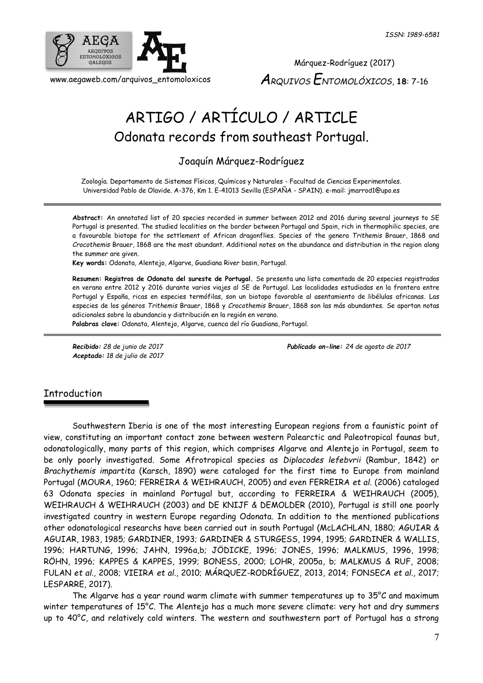

Márquez-Rodríguez (2017) *ARQUIVOS ENTOMOLÓXICOS*, **18**: 7-16

# ARTIGO / ARTÍCULO / ARTICLE Odonata records from southeast Portugal.

# Joaquín Márquez-Rodríguez

Zoología. Departamento de Sistemas Físicos, Químicos y Naturales - Facultad de Ciencias Experimentales. Universidad Pablo de Olavide. A-376, Km 1. E-41013 Sevilla (ESPAÑA - SPAIN). e-mail: jmarrod1@upo.es

**Abstract:** An annotated list of 20 species recorded in summer between 2012 and 2016 during several journeys to SE Portugal is presented. The studied localities on the border between Portugal and Spain, rich in thermophilic species, are a favourable biotope for the settlement of African dragonflies. Species of the genera *Trithemis* Brauer, 1868 and *Crocothemis* Brauer, 1868 are the most abundant. Additional notes on the abundance and distribution in the region along the summer are given.

**Key words:** Odonata, Alentejo, Algarve, Guadiana River basin, Portugal.

**Resumen: Registros de Odonata del sureste de Portugal.** Se presenta una lista comentada de 20 especies registradas en verano entre 2012 y 2016 durante varios viajes al SE de Portugal. Las localidades estudiadas en la frontera entre Portugal y España, ricas en especies termófilas, son un biotopo favorable al asentamiento de libélulas africanas. Las especies de los géneros *Trithemis* Brauer, 1868 y *Crocothemis* Brauer, 1868 son las más abundantes. Se aportan notas adicionales sobre la abundancia y distribución en la región en verano.

**Palabras clave:** Odonata, Alentejo, Algarve, cuenca del río Guadiana, Portugal.

*Aceptado: 18 de julio de 2017*

*Recibido: 28 de junio de 2017 Publicado on-line: 24 de agosto de 2017*

# Introduction

Southwestern Iberia is one of the most interesting European regions from a faunistic point of view, constituting an important contact zone between western Palearctic and Paleotropical faunas but, odonatologically, many parts of this region, which comprises Algarve and Alentejo in Portugal, seem to be only poorly investigated. Some Afrotropical species as *Diplacodes lefebvrii* (Rambur, 1842) or *Brachythemis impartita* (Karsch, 1890) were cataloged for the first time to Europe from mainland Portugal (MOURA, 1960; FERREIRA & WEIHRAUCH, 2005) and even FERREIRA *et al.* (2006) cataloged 63 Odonata species in mainland Portugal but, according to FERREIRA & WEIHRAUCH (2005), WEIHRAUCH & WEIHRAUCH (2003) and DE KNIJF & DEMOLDER (2010), Portugal is still one poorly investigated country in western Europe regarding Odonata. In addition to the mentioned publications other odonatological researchs have been carried out in south Portugal (McLACHLAN, 1880; AGUIAR & AGUIAR, 1983, 1985; GARDINER, 1993; GARDINER & STURGESS, 1994, 1995; GARDINER & WALLIS, 1996; HARTUNG, 1996; JAHN, 1996a,b; JÖDICKE, 1996; JONES, 1996; MALKMUS, 1996, 1998; RÖHN, 1996; KAPPES & KAPPES, 1999; BONESS, 2000; LOHR, 2005a, b; MALKMUS & RUF, 2008; FULAN *et al*., 2008; VIEIRA *et al*., 2010; MÁRQUEZ-RODRÍGUEZ, 2013, 2014; FONSECA *et al*., 2017; LESPARRE, 2017).

The Algarve has a year round warm climate with summer temperatures up to 35°C and maximum winter temperatures of 15°C. The Alentejo has a much more severe climate: very hot and dry summers up to 40°C, and relatively cold winters. The western and southwestern part of Portugal has a strong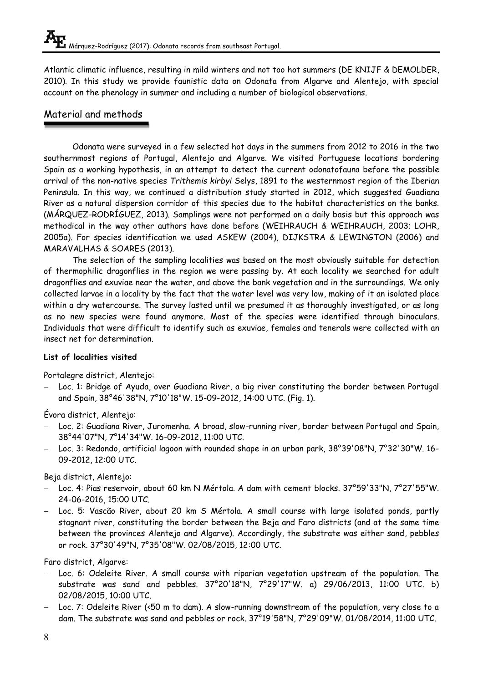Atlantic climatic influence, resulting in mild winters and not too hot summers (DE KNIJF & DEMOLDER, 2010). In this study we provide faunistic data on Odonata from Algarve and Alentejo, with special account on the phenology in summer and including a number of biological observations.

# Material and methods

Odonata were surveyed in a few selected hot days in the summers from 2012 to 2016 in the two southernmost regions of Portugal, Alentejo and Algarve. We visited Portuguese locations bordering Spain as a working hypothesis, in an attempt to detect the current odonatofauna before the possible arrival of the non-native species *Trithemis kirbyi* Selys, 1891 to the westernmost region of the Iberian Peninsula. In this way, we continued a distribution study started in 2012, which suggested Guadiana River as a natural dispersion corridor of this species due to the habitat characteristics on the banks. (MÁRQUEZ-RODRÍGUEZ, 2013). Samplings were not performed on a daily basis but this approach was methodical in the way other authors have done before (WEIHRAUCH & WEIHRAUCH, 2003; LOHR, 2005a). For species identification we used ASKEW (2004), DIJKSTRA & LEWINGTON (2006) and MARAVALHAS & SOARES (2013).

The selection of the sampling localities was based on the most obviously suitable for detection of thermophilic dragonflies in the region we were passing by. At each locality we searched for adult dragonflies and exuviae near the water, and above the bank vegetation and in the surroundings. We only collected larvae in a locality by the fact that the water level was very low, making of it an isolated place within a dry watercourse. The survey lasted until we presumed it as thoroughly investigated, or as long as no new species were found anymore. Most of the species were identified through binoculars. Individuals that were difficult to identify such as exuviae, females and tenerals were collected with an insect net for determination.

# **List of localities visited**

Portalegre district, Alentejo:

 Loc. 1: Bridge of Ayuda, over Guadiana River, a big river constituting the border between Portugal and Spain, 38°46'38"N, 7°10'18"W. 15-09-2012, 14:00 UTC. (Fig. 1).

Évora district, Alentejo:

- Loc. 2: Guadiana River, Juromenha. A broad, slow-running river, border between Portugal and Spain, 38°44'07"N, 7°14'34"W. 16-09-2012, 11:00 UTC.
- Loc. 3: Redondo, artificial lagoon with rounded shape in an urban park, 38°39'08"N, 7°32'30"W. 16- 09-2012, 12:00 UTC.

Beja district, Alentejo:

- Loc. 4: Pias reservoir, about 60 km N Mértola. A dam with cement blocks. 37°59'33"N, 7°27'55"W. 24-06-2016, 15:00 UTC.
- Loc. 5: Vascão River, about 20 km S Mértola. A small course with large isolated ponds, partly stagnant river, constituting the border between the Beja and Faro districts (and at the same time between the provinces Alentejo and Algarve). Accordingly, the substrate was either sand, pebbles or rock. 37°30'49"N, 7°35'08"W. 02/08/2015, 12:00 UTC.

Faro district, Algarve:

- Loc. 6: Odeleite River. A small course with riparian vegetation upstream of the population. The substrate was sand and pebbles. 37°20'18"N, 7°29'17"W. a) 29/06/2013, 11:00 UTC. b) 02/08/2015, 10:00 UTC.
- Loc. 7: Odeleite River (<50 m to dam). A slow-running downstream of the population, very close to a dam. The substrate was sand and pebbles or rock. 37°19'58"N, 7°29'09"W. 01/08/2014, 11:00 UTC.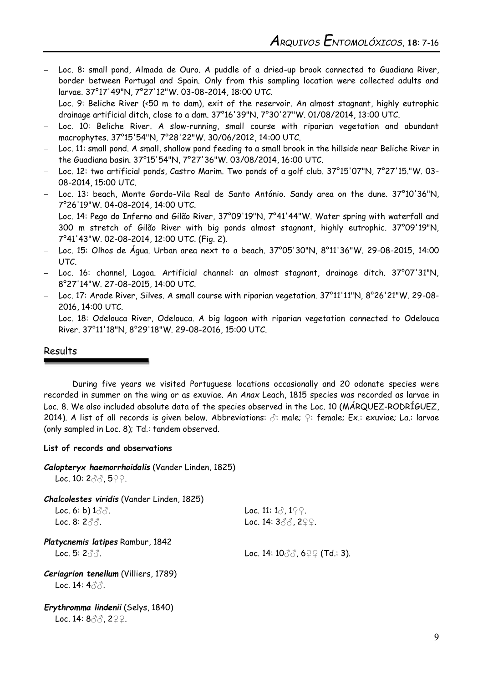- Loc. 8: small pond, Almada de Ouro. A puddle of a dried-up brook connected to Guadiana River, border between Portugal and Spain. Only from this sampling location were collected adults and larvae. 37°17'49"N, 7°27'12"W. 03-08-2014, 18:00 UTC.
- Loc. 9: Beliche River (<50 m to dam), exit of the reservoir. An almost stagnant, highly eutrophic drainage artificial ditch, close to a dam. 37°16'39"N, 7°30'27"W. 01/08/2014, 13:00 UTC.
- Loc. 10: Beliche River. A slow-running, small course with riparian vegetation and abundant macrophytes. 37°15'54"N, 7°28'22"W. 30/06/2012, 14:00 UTC.
- Loc. 11: small pond. A small, shallow pond feeding to a small brook in the hillside near Beliche River in the Guadiana basin. 37°15'54"N, 7°27'36"W. 03/08/2014, 16:00 UTC.
- Loc. 12: two artificial ponds, Castro Marim. Two ponds of a golf club. 37°15'07"N, 7°27'15."W. 03- 08-2014, 15:00 UTC.
- Loc. 13: beach, Monte Gordo-Vila Real de Santo António. Sandy area on the dune. 37°10'36"N, 7°26'19"W. 04-08-2014, 14:00 UTC.
- Loc. 14: Pego do Inferno and Gilão River, 37°09'19"N, 7°41'44"W. Water spring with waterfall and 300 m stretch of Gilão River with big ponds almost stagnant, highly eutrophic. 37°09'19"N, 7°41'43"W. 02-08-2014, 12:00 UTC. (Fig. 2).
- Loc. 15: Olhos de Água. Urban area next to a beach. 37°05'30"N, 8°11'36"W. 29-08-2015, 14:00 UTC.
- Loc. 16: channel, Lagoa. Artificial channel: an almost stagnant, drainage ditch. 37°07'31"N, 8°27'14"W. 27-08-2015, 14:00 UTC.
- Loc. 17: Arade River, Silves. A small course with riparian vegetation. 37°11'11"N, 8°26'21"W. 29-08- 2016, 14:00 UTC.
- Loc. 18: Odelouca River, Odelouca. A big lagoon with riparian vegetation connected to Odelouca River. 37°11'18"N, 8°29'18"W. 29-08-2016, 15:00 UTC.

## Results

During five years we visited Portuguese locations occasionally and 20 odonate species were recorded in summer on the wing or as exuviae. An *Anax* Leach, 1815 species was recorded as larvae in Loc. 8. We also included absolute data of the species observed in the Loc. 10 (MÁRQUEZ-RODRÍGUEZ, 2014). A list of all records is given below. Abbreviations: ♂: male; ♀: female; Ex.: exuviae; La.: larvae (only sampled in Loc. 8); Td.: tandem observed.

#### **List of records and observations**

|  | Calopteryx haemorrhoidalis (Vander Linden, 1825) |  |  |  |  |
|--|--------------------------------------------------|--|--|--|--|
|--|--------------------------------------------------|--|--|--|--|

Loc. 10: 233, 5♀♀.

| <b>Chalcolestes viridis (Vander Linden, 1825)</b>   |                                        |
|-----------------------------------------------------|----------------------------------------|
| Loc. $6: b$ ) $1 \textcircled{3} \textcircled{3}$ . | Loc. 11: $1\sigma$ , $1\Omega$ .       |
| Loc. 8: 2 $\partial\mathcal{A}$ .                   | Loc. 14: $3\text{d}$ . 299.            |
| Platycnemis latipes Rambur, 1842                    |                                        |
| Loc. 5: $2\text{A}.$                                | Loc. 14: $10\%$ , $6\degree$ (Td.: 3). |
| Ceriagrion tenellum (Villiers, 1789)                |                                        |
| Loc. 14: $4\sigma$ $\sigma$ .                       |                                        |
| Erythromma lindenii (Selys, 1840)                   |                                        |
| Loc. 14: $8\text{d}$ , $2\text{d}$ .                |                                        |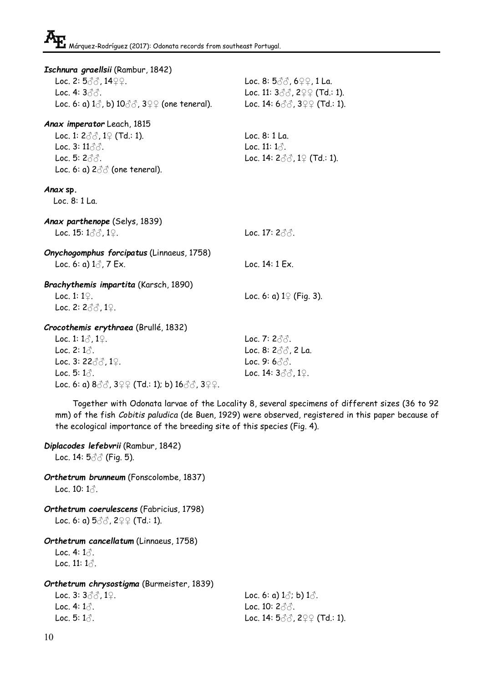| Ischnura graellsii (Rambur, 1842)                                                  |                                                                                      |
|------------------------------------------------------------------------------------|--------------------------------------------------------------------------------------|
| Loc. 2: $5\%$ , $14\degree$ .                                                      | Loc. 8: $5\text{d}$ , $6\text{d}$ , $1$ La.                                          |
| Loc. 4: $3\text{d}$ .                                                              | Loc. 11: $3\text{ }3\text{ }3\text{ }3\text{ }2\text{ }2\text{ }2\text{ }$ (Td.: 1). |
| Loc. 6: a) $1\text{\AA}$ , b) $10\text{\AA}$ , $3\text{\AA}$ (one teneral).        | Loc. 14: $600$ , $399$ (Td.: 1).                                                     |
| Anax imperator Leach, 1815                                                         |                                                                                      |
| Loc. 1: $2 \text{d}$ , $1 \text{d}$ (Td.: 1).                                      | Loc. 8: 1 La.                                                                        |
| Loc. $3:11\text{d}$ .                                                              | Loc. 11: $1\text{C}$ .                                                               |
| Loc. 5: $2\text{d}$ .                                                              | Loc. 14: $2 \text{d} \text{d}$ , 1 $\text{d}$ (Td.: 1).                              |
| Loc. 6: a) $2\text{d}$ (one teneral).                                              |                                                                                      |
| Anax sp.                                                                           |                                                                                      |
| Loc. 8: 1 La.                                                                      |                                                                                      |
| Anax parthenope (Selys, 1839)                                                      |                                                                                      |
| Loc. 15: $1\text{e}$ . 19.                                                         | Loc. 17: $2\text{d}$ .                                                               |
| Onychogomphus forcipatus (Linnaeus, 1758)                                          |                                                                                      |
| Loc. 6: a) $1\frac{3}{2}$ , 7 Ex.                                                  | Loc. 14: 1 Ex.                                                                       |
|                                                                                    |                                                                                      |
| Brachythemis impartita (Karsch, 1890)                                              |                                                                                      |
| Loc. 1: $1\degree$ .                                                               | Loc. 6: a) $1\sqrt{2}$ (Fig. 3).                                                     |
| Loc. 2: $2\text{d}$ , $1\text{d}$ .                                                |                                                                                      |
| Crocothemis erythraea (Brullé, 1832)                                               |                                                                                      |
| Loc. 1: $1\delta$ , $1\Omega$ .                                                    | Loc. 7: $2\text{d}$ .                                                                |
| Loc. 2: $1\delta$ .                                                                | Loc. 8: $2\text{d}$ , 2 La.                                                          |
| Loc. 3: $22\text{d}$ , $1\text{d}$ .                                               | Loc. 9: $6\%$ .                                                                      |
| Loc. 5: $1\text{A}$ .                                                              | Loc. 14: $3\text{d}$ , $1\text{d}$ .                                                 |
| Loc. 6: a) $8\text{eV}$ , $3\text{eV}$ (Td.: 1); b) $16\text{eV}$ , $3\text{eV}$ . |                                                                                      |
| Together with Odonata larvae of the Locality 8, several specimens of dif           |                                                                                      |

fferent sizes (36 to 92 n this paper because of the ecological importance of the breeding site of this species (Fig. 4).

- *Diplacodes lefebvrii* (Rambur, 1842) Loc. 14: 53 ∂ (Fig. 5).
- *Orthetrum brunneum* (Fonscolombe, 1837) Loc.  $10:1$  $\odot$ .
- *Orthetrum coerulescens* (Fabricius, 1798) Loc. 6: a)  $5\text{d}$ ,  $2\text{d}$  (Td.: 1).

## *Orthetrum cancellatum* (Linnaeus, 1758)

Loc. 4:  $1\text{-}0$ . Loc. 11:  $1\text{ }3$ .

*Orthetrum chrysostigma* (Burmeister, 1839)

Loc. 3:  $3\sqrt[3]{2}$ ,  $1\sqrt{2}$ . Loc. 6: a)  $1\sqrt[3]{2}$ ; b)  $1\sqrt[3]{2}$ . Loc. 4:  $1\delta$ . Loc. 10:  $2\delta\delta$ . Loc. 5:  $1\delta$ . Loc. 14:  $5\delta\delta$ ,  $2\gamma\gamma$  (Td.: 1).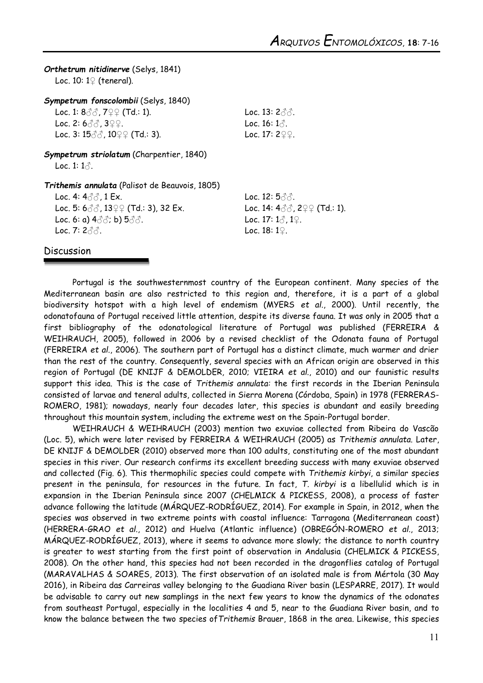*Orthetrum nitidinerve* (Selys, 1841) Loc. 10: 1♀ (teneral).

*Sympetrum fonscolombii* (Selys, 1840)

Loc. 1:  $8\sqrt[3]{3}$ ,  $7\sqrt[3]{2}$  (Td.: 1). Loc. 13:  $2\sqrt[3]{3}$ . Loc. 2:  $6\%$ ,  $3\%$ . Loc. 3:  $15\frac{?}{3}$ ,  $10\frac{?}{4}$  (Td.: 3). Loc. 17: 2 $\frac{?}{4}$ .

*Sympetrum striolatum* (Charpentier, 1840) Loc. 1:  $1\delta$ .

*Trithemis annulata* (Palisot de Beauvois, 1805)

Loc. 4:  $4\delta\delta$ , 1 Ex. Loc. 12:  $5\delta\delta$ . Loc. 5:  $600$ ,  $1399$  (Td.: 3), 32 Ex. Loc. 14:  $4000$ ,  $299$  (Td.: 1). Loc. 6: a)  $4\sqrt[3]{3}$ ; b)  $5\sqrt[3]{3}$ . Loc. 17:  $1\sqrt[3]{2}$ ,  $1\sqrt[2]{2}$ . Loc. 7:  $2\text{d}\text{d}$ . Loc. 18: 19.

## Discussion

Portugal is the southwesternmost country of the European continent. Many species of the Mediterranean basin are also restricted to this region and, therefore, it is a part of a global biodiversity hotspot with a high level of endemism (MYERS *et al*., 2000). Until recently, the odonatofauna of Portugal received little attention, despite its diverse fauna. It was only in 2005 that a first bibliography of the odonatological literature of Portugal was published (FERREIRA & WEIHRAUCH, 2005), followed in 2006 by a revised checklist of the Odonata fauna of Portugal (FERREIRA *et al*., 2006). The southern part of Portugal has a distinct climate, much warmer and drier than the rest of the country. Consequently, several species with an African origin are observed in this region of Portugal (DE KNIJF & DEMOLDER, 2010; VIEIRA *et al*., 2010) and our faunistic results support this idea. This is the case of *Trithemis annulata:* the first records in the Iberian Peninsula consisted of larvae and teneral adults, collected in Sierra Morena (Córdoba, Spain) in 1978 (FERRERAS-ROMERO, 1981); nowadays, nearly four decades later, this species is abundant and easily breeding throughout this mountain system, including the extreme west on the Spain-Portugal border.

WEIHRAUCH & WEIHRAUCH (2003) mention two exuviae collected from Ribeira do Vascão (Loc. 5), which were later revised by FERREIRA & WEIHRAUCH (2005) as *Trithemis annulata*. Later, DE KNIJF & DEMOLDER (2010) observed more than 100 adults, constituting one of the most abundant species in this river. Our research confirms its excellent breeding success with many exuviae observed and collected (Fig. 6). This thermophilic species could compete with *Trithemis kirbyi*, a similar species present in the peninsula, for resources in the future. In fact, *T. kirbyi* is a libellulid which is in expansion in the Iberian Peninsula since 2007 (CHELMICK & PICKESS, 2008), a process of faster advance following the latitude (MÁRQUEZ-RODRÍGUEZ, 2014). For example in Spain, in 2012, when the species was observed in two extreme points with coastal influence: Tarragona (Mediterranean coast) (HERRERA-GRAO *et al*., 2012) and Huelva (Atlantic influence) (OBREGÓN-ROMERO *et al*., 2013; MÁRQUEZ-RODRÍGUEZ, 2013), where it seems to advance more slowly; the distance to north country is greater to west starting from the first point of observation in Andalusia (CHELMICK & PICKESS, 2008). On the other hand, this species had not been recorded in the dragonflies catalog of Portugal (MARAVALHAS & SOARES, 2013). The first observation of an isolated male is from Mértola (30 May 2016), in Ribeira das Carreiras valley belonging to the Guadiana River basin (LESPARRE, 2017). It would be advisable to carry out new samplings in the next few years to know the dynamics of the odonates from southeast Portugal, especially in the localities 4 and 5, near to the Guadiana River basin, and to know the balance between the two species of*Trithemis* Brauer, 1868 in the area. Likewise, this species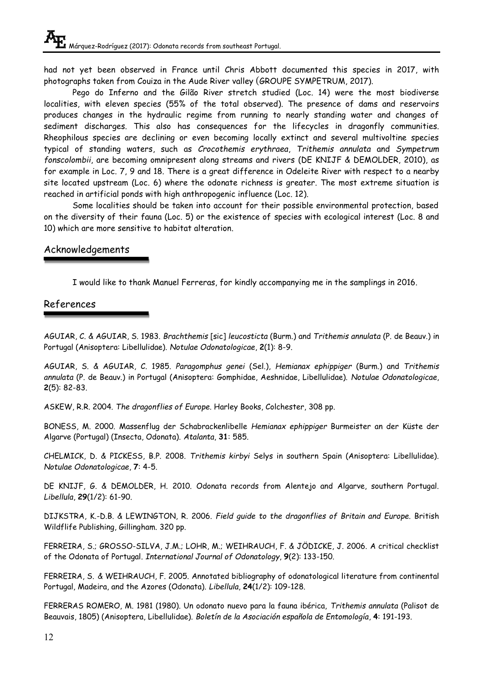had not yet been observed in France until Chris Abbott documented this species in 2017, with photographs taken from Couiza in the Aude River valley (GROUPE SYMPETRUM, 2017).

Pego do Inferno and the Gilão River stretch studied (Loc. 14) were the most biodiverse localities, with eleven species (55% of the total observed). The presence of dams and reservoirs produces changes in the hydraulic regime from running to nearly standing water and changes of sediment discharges. This also has consequences for the lifecycles in dragonfly communities. Rheophilous species are declining or even becoming locally extinct and several multivoltine species typical of standing waters, such as *Crocothemis erythraea*, *Trithemis annulata* and *Sympetrum fonscolombii*, are becoming omnipresent along streams and rivers (DE KNIJF & DEMOLDER, 2010), as for example in Loc. 7, 9 and 18. There is a great difference in Odeleite River with respect to a nearby site located upstream (Loc. 6) where the odonate richness is greater. The most extreme situation is reached in artificial ponds with high anthropogenic influence (Loc. 12).

Some localities should be taken into account for their possible environmental protection, based on the diversity of their fauna (Loc. 5) or the existence of species with ecological interest (Loc. 8 and 10) which are more sensitive to habitat alteration.

# Acknowledgements

I would like to thank Manuel Ferreras, for kindly accompanying me in the samplings in 2016.

# References

AGUIAR, C. & AGUIAR, S. 1983. *Brachthemis* [sic] *leucosticta* (Burm.) and *Trithemis annulata* (P. de Beauv.) in Portugal (Anisoptera: Libellulidae). *Notulae Odonatologicae*, **2**(1): 8-9.

AGUIAR, S. & AGUIAR, C. 1985. *Paragomphus genei* (Sel.), *Hemianax ephippiger* (Burm.) and *Trithemis annulata* (P. de Beauv.) in Portugal (Anisoptera: Gomphidae, Aeshnidae, Libellulidae). *Notulae Odonatologicae*, **2**(5): 82-83.

ASKEW, R.R. 2004. *The dragonflies of Europe.* Harley Books, Colchester, 308 pp.

BONESS, M. 2000. Massenflug der Schabrackenlibelle *Hemianax ephippiger* Burmeister an der Küste der Algarve (Portugal) (Insecta, Odonata). *Atalanta*, **31**: 585.

CHELMICK, D. & PICKESS, B.P. 2008. *Trithemis kirbyi* Selys in southern Spain (Anisoptera: Libellulidae). *Notulae Odonatologicae*, **7**: 4-5.

DE KNIJF, G. & DEMOLDER, H. 2010. Odonata records from Alentejo and Algarve, southern Portugal. *Libellula*, **29**(1/2): 61-90.

DIJKSTRA, K.-D.B. & LEWINGTON, R. 2006. *Field guide to the dragonflies of Britain and Europe.* British Wildflife Publishing, Gillingham. 320 pp.

FERREIRA, S.; GROSSO-SILVA, J.M.; LOHR, M.; WEIHRAUCH, F. & JÖDICKE, J. 2006. A critical checklist of the Odonata of Portugal. *International Journal of Odonatology*, **9**(2): 133-150.

FERREIRA, S. & WEIHRAUCH, F. 2005. Annotated bibliography of odonatological literature from continental Portugal, Madeira, and the Azores (Odonata). *Libellula*, **24**(1/2): 109-128.

FERRERAS ROMERO, M. 1981 (1980). Un odonato nuevo para la fauna ibérica, *Trithemis annulata* (Palisot de Beauvais, 1805) (Anisoptera, Libellulidae). *Boletín de la Asociación española de Entomología*, **4**: 191-193.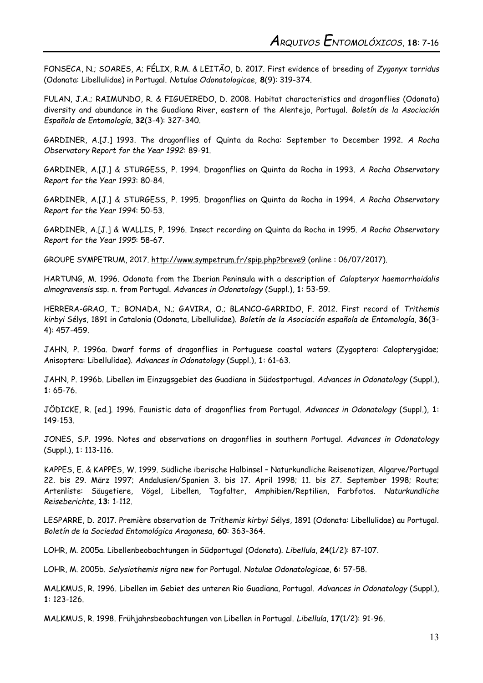FONSECA, N.; SOARES, A; FÉLIX, R.M. & LEITÃO, D. 2017. First evidence of breeding of *Zygonyx torridus* (Odonata: Libellulidae) in Portugal. *Notulae Odonatologicae*, **8**(9): 319-374.

FULAN, J.A.; RAIMUNDO, R. & FIGUEIREDO, D. 2008. Habitat characteristics and dragonflies (Odonata) diversity and abundance in the Guadiana River, eastern of the Alentejo, Portugal. *Boletín de la Asociación Española de Entomología*, **32**(3-4): 327-340.

GARDINER, A.[J.] 1993. The dragonflies of Quinta da Rocha: September to December 1992. *A Rocha Observatory Report for the Year 1992*: 89-91.

GARDINER, A.[J.] & STURGESS, P. 1994. Dragonflies on Quinta da Rocha in 1993. *A Rocha Observatory Report for the Year 1993*: 80-84.

GARDINER, A.[J.] & STURGESS, P. 1995. Dragonflies on Quinta da Rocha in 1994. *A Rocha Observatory Report for the Year 1994*: 50-53.

GARDINER, A.[J.] & WALLIS, P. 1996. Insect recording on Quinta da Rocha in 1995. *A Rocha Observatory Report for the Year 1995*: 58-67.

GROUPE SYMPETRUM, 2017. <http://www.sympetrum.fr/spip.php?breve9> (online : 06/07/2017).

HARTUNG, M. 1996. Odonata from the Iberian Peninsula with a description of *Calopteryx haemorrhoidalis almogravensis* ssp. n. from Portugal. *Advances in Odonatology* (Suppl.), **1**: 53-59.

HERRERA-GRAO, T.; BONADA, N.; GAVIRA, O.; BLANCO-GARRIDO, F. 2012. First record of *Trithemis kirbyi* Sélys, 1891 in Catalonia (Odonata, Libellulidae). *Boletín de la Asociación española de Entomología*, **36**(3- 4): 457-459.

JAHN, P. 1996a. Dwarf forms of dragonflies in Portuguese coastal waters (Zygoptera: Calopterygidae; Anisoptera: Libellulidae). *Advances in Odonatology* (Suppl*.*), **1**: 61-63.

JAHN, P. 1996b. Libellen im Einzugsgebiet des Guadiana in Südostportugal. *Advances in Odonatology* (Suppl*.*), **1**: 65-76.

JÖDICKE, R. [ed.]. 1996. Faunistic data of dragonflies from Portugal. *Advances in Odonatology* (Suppl*.*), **1**: 149-153.

JONES, S.P. 1996. Notes and observations on dragonflies in southern Portugal. *Advances in Odonatology*  (Suppl*.*), **1**: 113-116.

KAPPES, E. & KAPPES, W. 1999. Südliche iberische Halbinsel – Naturkundliche Reisenotizen. Algarve/Portugal 22. bis 29. März 1997; Andalusien/Spanien 3. bis 17. April 1998; 11. bis 27. September 1998; Route; Artenliste: Säugetiere, Vögel, Libellen, Tagfalter, Amphibien/Reptilien, Farbfotos. *Naturkundliche Reiseberichte*, **13**: 1-112.

LESPARRE, D. 2017. Première observation de *Trithemis kirbyi* Sélys, 1891 (Odonata: Libellulidae) au Portugal. *Boletín de la Sociedad Entomológica Aragonesa*, **60**: 363–364.

LOHR, M. 2005a. Libellenbeobachtungen in Südportugal (Odonata). *Libellula*, **24**(1/2): 87-107.

LOHR, M. 2005b. *Selysiothemis nigra* new for Portugal. *Notulae Odonatologicae*, **6**: 57-58.

MALKMUS, R. 1996. Libellen im Gebiet des unteren Rio Guadiana, Portugal. *Advances in Odonatology* (Suppl*.*), **1**: 123-126.

MALKMUS, R. 1998. Frühjahrsbeobachtungen von Libellen in Portugal. *Libellula*, **17**(1/2): 91-96.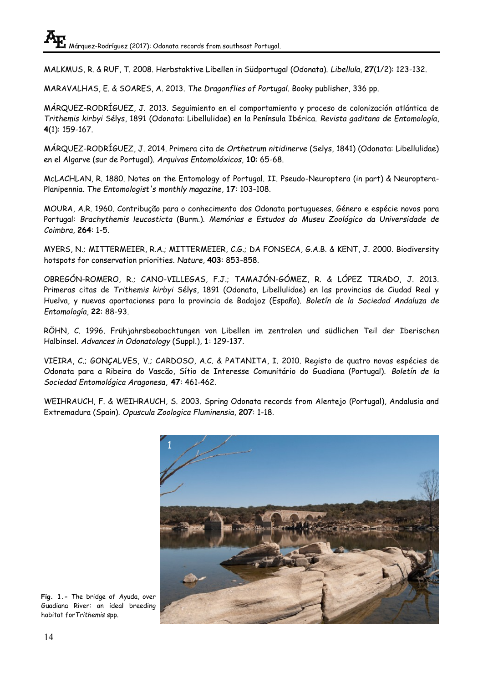MALKMUS, R. & RUF, T. 2008. Herbstaktive Libellen in Südportugal (Odonata). *Libellula*, **27**(1/2): 123-132.

MARAVALHAS, E. & SOARES, A. 2013. *The Dragonflies of Portugal*. Booky publisher, 336 pp.

MÁRQUEZ-RODRÍGUEZ, J. 2013. Seguimiento en el comportamiento y proceso de colonización atlántica de *Trithemis kirbyi* Sélys, 1891 (Odonata: Libellulidae) en la Península Ibérica. *Revista gaditana de Entomología*, **4**(1): 159-167.

MÁRQUEZ-RODRÍGUEZ, J. 2014. Primera cita de *Orthetrum nitidinerve* (Selys, 1841) (Odonata: Libellulidae) en el Algarve (sur de Portugal). *Arquivos Entomolóxicos*, **10**: 65-68.

McLACHLAN, R. 1880. Notes on the Entomology of Portugal. II. Pseudo-Neuroptera (in part) & Neuroptera-Planipennia. *The Entomologist's monthly magazine*, **17**: 103-108.

MOURA, A.R. 1960. Contribução para o conhecimento dos Odonata portugueses. Género e espécie novos para Portugal: *Brachythemis leucosticta* (Burm.). *Memórias e Estudos do Museu Zoológico da Universidade de Coimbra*, **264**: 1-5.

MYERS, N.; MITTERMEIER, R.A.; MITTERMEIER, C.G.; DA FONSECA, G.A.B. & KENT, J. 2000. Biodiversity hotspots for conservation priorities. *Nature*, **403**: 853-858.

OBREGÓN-ROMERO, R.; CANO-VILLEGAS, F.J.; TAMAJÓN-GÓMEZ, R. & LÓPEZ TIRADO, J. 2013. Primeras citas de *Trithemis kirbyi* Sélys, 1891 (Odonata, Libellulidae) en las provincias de Ciudad Real y Huelva, y nuevas aportaciones para la provincia de Badajoz (España). *Boletín de la Sociedad Andaluza de Entomología*, **22**: 88-93.

RÖHN, C. 1996. Frühjahrsbeobachtungen von Libellen im zentralen und südlichen Teil der Iberischen Halbinsel. *Advances in Odonatology* (Suppl.), **1**: 129-137.

VIEIRA, C.; GONÇALVES, V.; CARDOSO, A.C. & PATANITA, I. 2010. Registo de quatro novas espécies de Odonata para a Ribeira do Vascão, Sítio de Interesse Comunitário do Guadiana (Portugal). *Boletín de la Sociedad Entomológica Aragonesa*, **47**: 461-462.

WEIHRAUCH, F. & WEIHRAUCH, S. 2003. Spring Odonata records from Alentejo (Portugal), Andalusia and Extremadura (Spain). *Opuscula Zoologica Fluminensia*, **207**: 1-18.



**Fig. 1.-** The bridge of Ayuda, over Guadiana River: an ideal breeding habitat for*Trithemis* spp.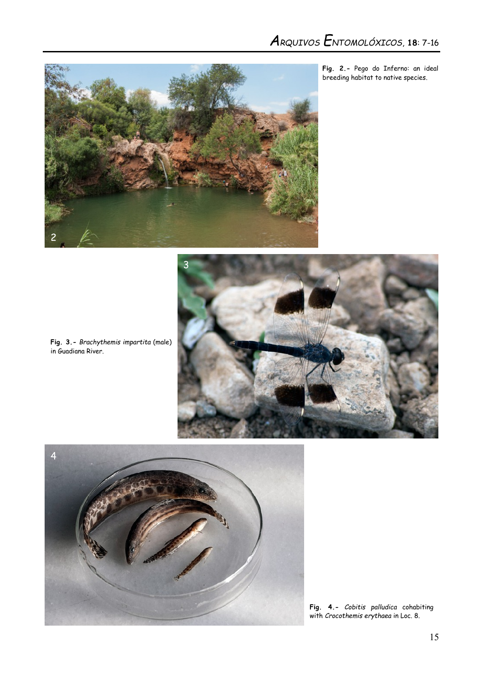

**Fig. 2.-** Pego do Inferno: an ideal breeding habitat to native species.



**Fig. 3.-** *Brachythemis impartita* (male) in Guadiana River.



**Fig. 4.-** *Cobitis palludica* cohabiting with *Crocothemis erythaea* in Loc. 8.